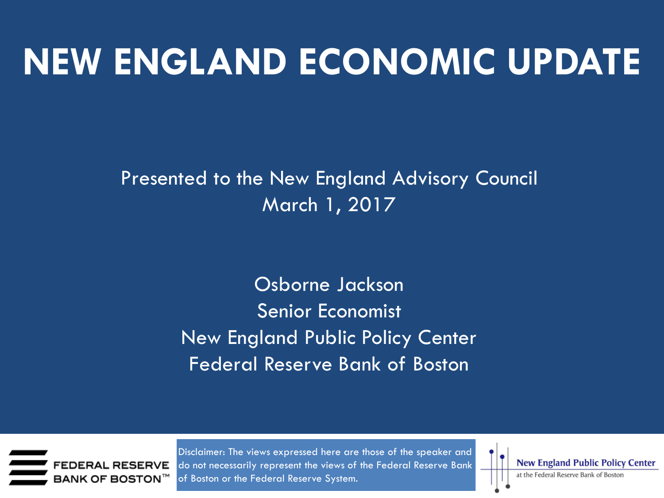## **NEW ENGLAND ECONOMIC UPDATE**

Presented to the New England Advisory Council March 1, 2017

> Osborne Jackson Senior Economist New England Public Policy Center Federal Reserve Bank of Boston



Disclaimer: The views expressed here are those of the speaker and do not necessarily represent the views of the Federal Reserve Bank of Boston or the Federal Reserve System.

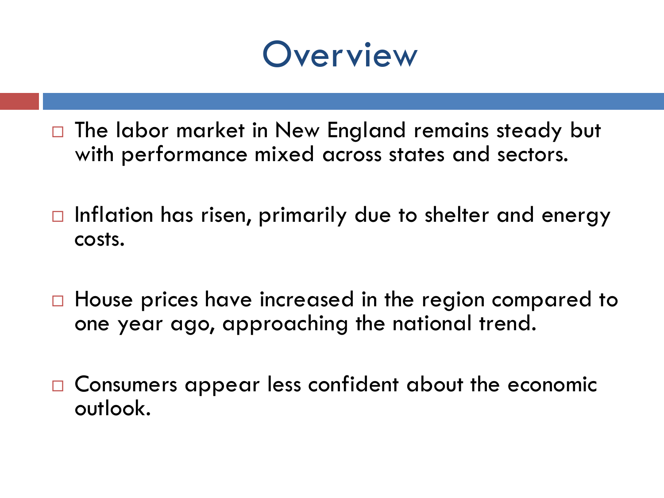#### **Overview**

- $\Box$  The labor market in New England remains steady but with performance mixed across states and sectors.
- $\Box$  Inflation has risen, primarily due to shelter and energy costs.
- □ House prices have increased in the region compared to one year ago, approaching the national trend.
- □ Consumers appear less confident about the economic outlook.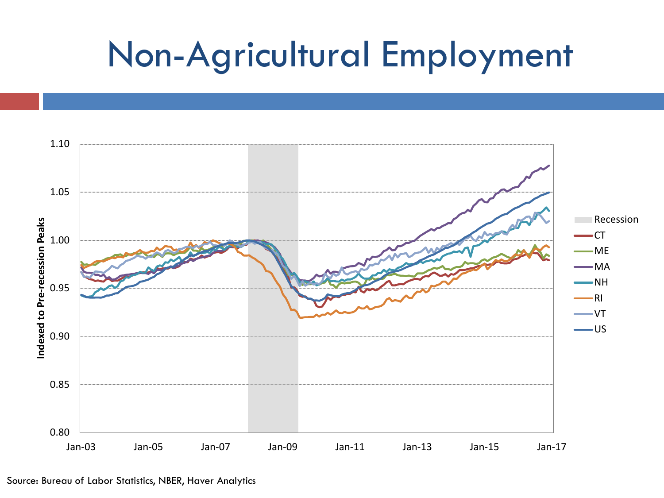## Non-Agricultural Employment

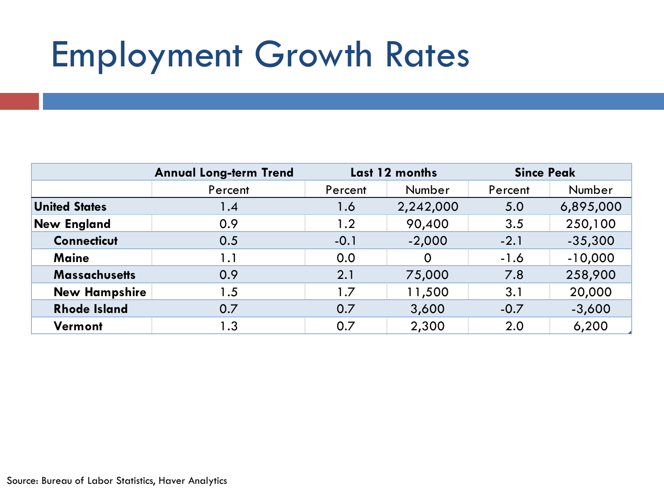## Employment Growth Rates

|                      | <b>Annual Long-term Trend</b> | Last 12 months |           | <b>Since Peak</b> |           |
|----------------------|-------------------------------|----------------|-----------|-------------------|-----------|
|                      | Percent                       | Percent        | Number    | Percent           | Number    |
| <b>United States</b> | 1.4                           | 1.6            | 2,242,000 | 5.0               | 6,895,000 |
| <b>New England</b>   | 0.9                           | 1.2            | 90,400    | 3.5               | 250,100   |
| <b>Connecticut</b>   | 0.5                           | $-0.1$         | $-2,000$  | $-2.1$            | $-35,300$ |
| <b>Maine</b>         | 1.1                           | 0.0            | 0         | $-1.6$            | $-10,000$ |
| <b>Massachusetts</b> | 0.9                           | 2.1            | 75,000    | 7.8               | 258,900   |
| <b>New Hampshire</b> | 1.5                           | 1.7            | 11,500    | 3.1               | 20,000    |
| <b>Rhode Island</b>  | 0.7                           | 0.7            | 3,600     | $-0.7$            | $-3,600$  |
| Vermont              | 1.3                           | 0.7            | 2,300     | 2.0               | 6,200     |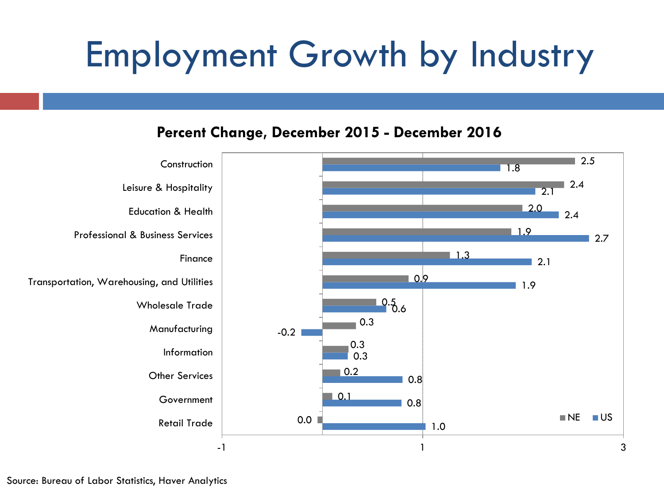# Employment Growth by Industry

#### **Percent Change, December 2015 - December 2016**

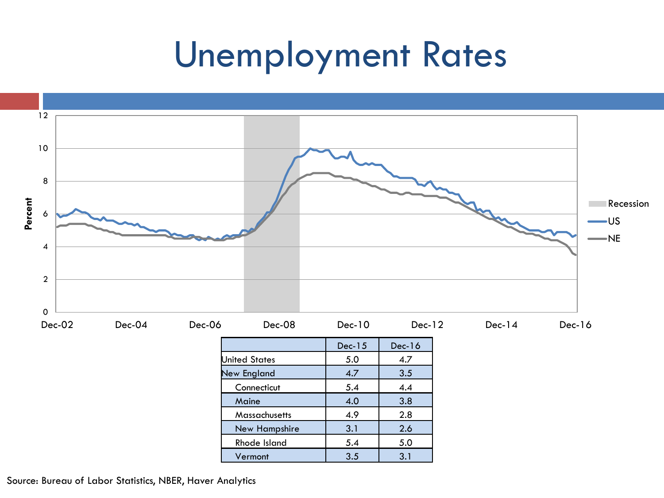#### Unemployment Rates



Source: Bureau of Labor Statistics, NBER, Haver Analytics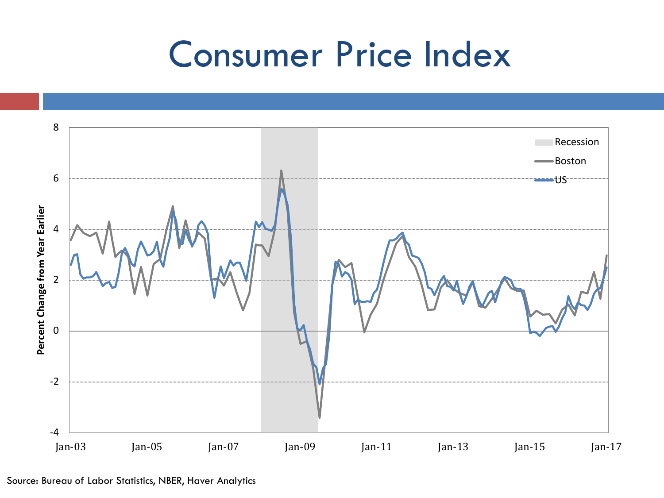### Consumer Price Index

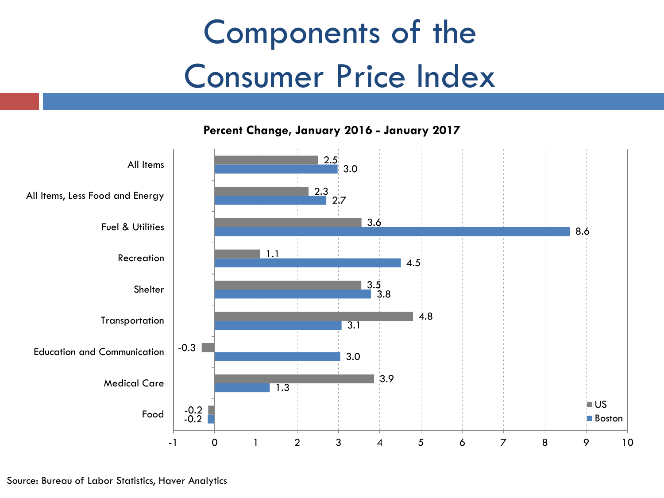## Components of the Consumer Price Index

**Percent Change, January 2016 - January 2017**

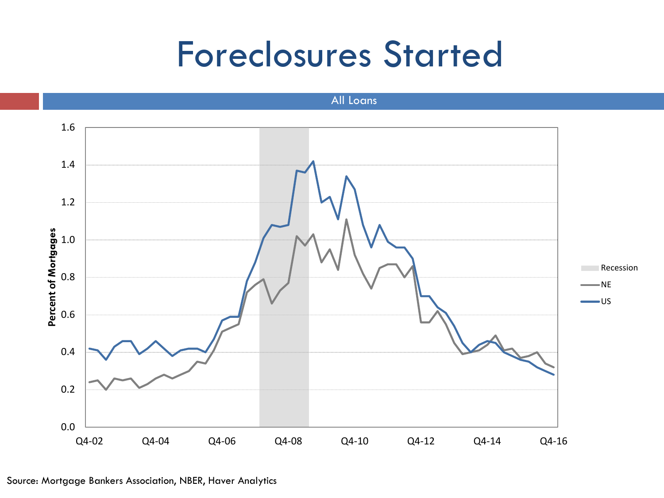#### Foreclosures Started

All Loans

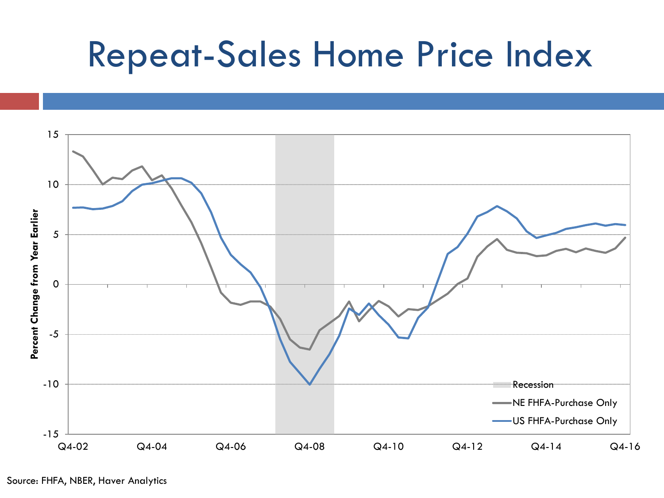## Repeat-Sales Home Price Index

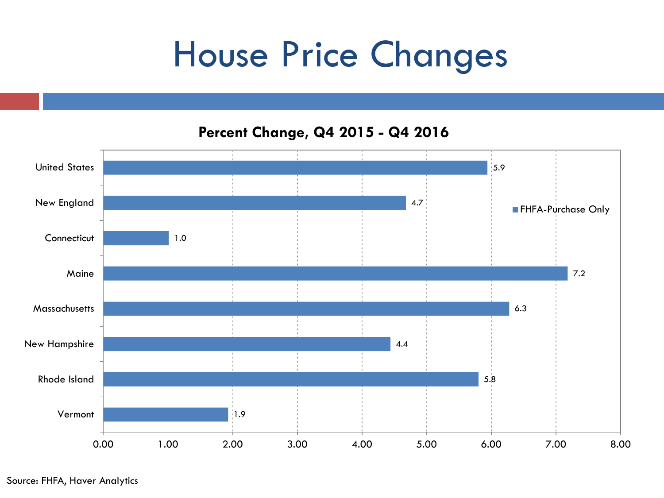## House Price Changes

**Percent Change, Q4 2015 - Q4 2016**

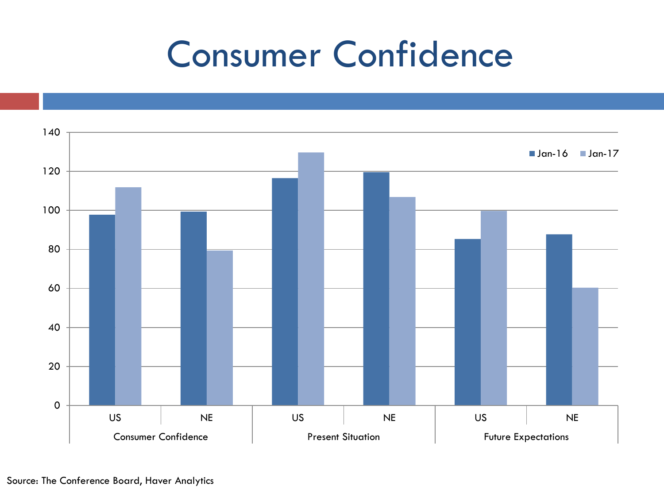## Consumer Confidence